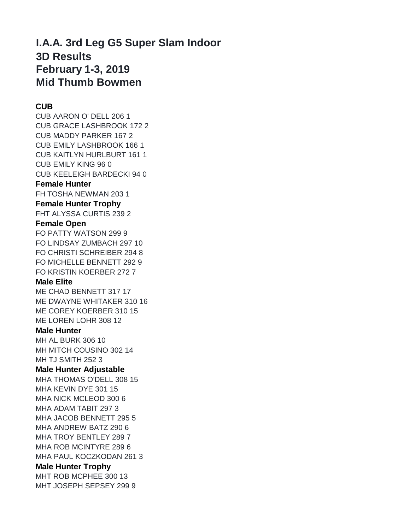## **I.A.A. 3rd Leg G5 Super Slam Indoor 3D Results February 1-3, 2019 Mid Thumb Bowmen**

## **CUB**

CUB AARON O' DELL 206 1 CUB GRACE LASHBROOK 172 2 CUB MADDY PARKER 167 2 CUB EMILY LASHBROOK 166 1 CUB KAITLYN HURLBURT 161 1 CUB EMILY KING 96 0 CUB KEELEIGH BARDECKI 94 0 **Female Hunter** FH TOSHA NEWMAN 203 1 **Female Hunter Trophy** FHT ALYSSA CURTIS 239 2 **Female Open** FO PATTY WATSON 299 9 FO LINDSAY ZUMBACH 297 10 FO CHRISTI SCHREIBER 294 8 FO MICHELLE BENNETT 292 9 FO KRISTIN KOERBER 272 7 **Male Elite** ME CHAD BENNETT 317 17 ME DWAYNE WHITAKER 310 16 ME COREY KOERBER 310 15 ME LOREN LOHR 308 12 **Male Hunter** MH AL BURK 306 10 MH MITCH COUSINO 302 14 MH TJ SMITH 252 3 **Male Hunter Adjustable** MHA THOMAS O'DELL 308 15 MHA KEVIN DYE 301 15 MHA NICK MCLEOD 300 6 MHA ADAM TABIT 297 3 MHA JACOB BENNETT 295 5 MHA ANDREW BATZ 290 6 MHA TROY BENTLEY 289 7 MHA ROB MCINTYRE 289 6 MHA PAUL KOCZKODAN 261 3 **Male Hunter Trophy**

MHT ROB MCPHEE 300 13 MHT JOSEPH SEPSEY 299 9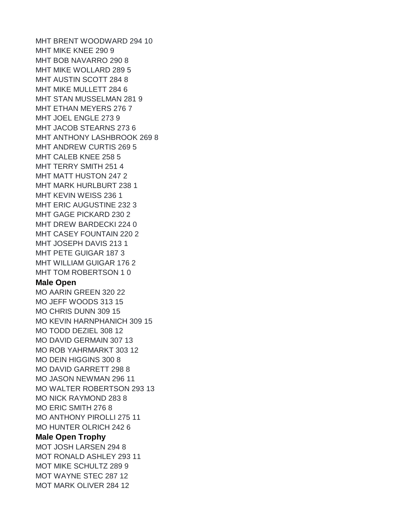MHT BRENT WOODWARD 294 10 MHT MIKE KNEE 290 9 MHT BOB NAVARRO 290 8 MHT MIKE WOLLARD 289 5 MHT AUSTIN SCOTT 284 8 MHT MIKE MULLETT 284 6 MHT STAN MUSSELMAN 281 9 MHT ETHAN MEYERS 276 7 MHT JOEL ENGLE 273 9 MHT JACOB STEARNS 273 6 MHT ANTHONY LASHBROOK 269 8 MHT ANDREW CURTIS 269 5 MHT CALEB KNEE 258 5 MHT TERRY SMITH 251 4 MHT MATT HUSTON 247 2 MHT MARK HURLBURT 238 1 MHT KEVIN WEISS 236 1 MHT ERIC AUGUSTINE 232 3 MHT GAGE PICKARD 230 2 MHT DREW BARDECKI 224 0 MHT CASEY FOUNTAIN 220 2 MHT JOSEPH DAVIS 213 1 MHT PETE GUIGAR 187 3 MHT WILLIAM GUIGAR 176 2 MHT TOM ROBERTSON 1 0 **Male Open** MO AARIN GREEN 320 22 MO JEFF WOODS 313 15 MO CHRIS DUNN 309 15 MO KEVIN HARNPHANICH 309 15 MO TODD DEZIEL 308 12 MO DAVID GERMAIN 307 13 MO ROB YAHRMARKT 303 12 MO DEIN HIGGINS 300 8 MO DAVID GARRETT 298 8 MO JASON NEWMAN 296 11 MO WALTER ROBERTSON 293 13 MO NICK RAYMOND 283 8 MO ERIC SMITH 276 8 MO ANTHONY PIROLLI 275 11 MO HUNTER OLRICH 242 6 **Male Open Trophy**

MOT JOSH LARSEN 294 8 MOT RONALD ASHLEY 293 11 MOT MIKE SCHULTZ 289 9 MOT WAYNE STEC 287 12 MOT MARK OLIVER 284 12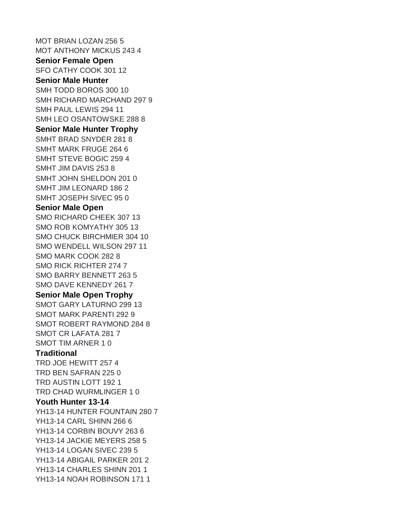MOT BRIAN LOZAN 256 5 MOT ANTHONY MICKUS 243 4 **Senior Female Open** SFO CATHY COOK 301 12 **Senior Male Hunter** SMH TODD BOROS 300 10 SMH RICHARD MARCHAND 297 9 SMH PAUL LEWIS 294 11 SMH LEO OSANTOWSKE 288 8 **Senior Male Hunter Trophy** SMHT BRAD SNYDER 281 8 SMHT MARK FRUGE 264 6 SMHT STEVE BOGIC 259 4 SMHT JIM DAVIS 253 8 SMHT JOHN SHELDON 201 0 SMHT JIM LEONARD 186 2 SMHT JOSEPH SIVEC 95 0 **Senior Male Open** SMO RICHARD CHEEK 307 13 SMO ROB KOMYATHY 305 13 SMO CHUCK BIRCHMIER 304 10 SMO WENDELL WILSON 297 11 SMO MARK COOK 282 8 SMO RICK RICHTER 274 7 SMO BARRY BENNETT 263 5 SMO DAVE KENNEDY 261 7 **Senior Male Open Trophy** SMOT GARY LATURNO 299 13 SMOT MARK PARENTI 292 9 SMOT ROBERT RAYMOND 284 8 SMOT CR LAFATA 281 7 SMOT TIM ARNER 1 0 **Traditional** TRD JOE HEWITT 257 4 TRD BEN SAFRAN 225 0 TRD AUSTIN LOTT 192 1 TRD CHAD WURMLINGER 1 0 **Youth Hunter 13-14** YH13-14 HUNTER FOUNTAIN 280 7 YH13-14 CARL SHINN 266 6 YH13-14 CORBIN BOUVY 263 6 YH13-14 JACKIE MEYERS 258 5 YH13-14 LOGAN SIVEC 239 5 YH13-14 ABIGAIL PARKER 201 2 YH13-14 CHARLES SHINN 201 1 YH13-14 NOAH ROBINSON 171 1